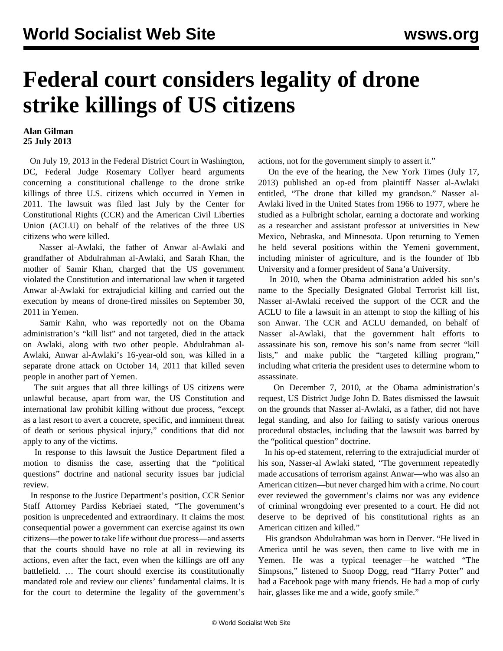## **Federal court considers legality of drone strike killings of US citizens**

## **Alan Gilman 25 July 2013**

 On July 19, 2013 in the Federal District Court in Washington, DC, Federal Judge Rosemary Collyer heard arguments concerning a constitutional challenge to the drone strike killings of three U.S. citizens which occurred in Yemen in 2011. The lawsuit was filed last July by the Center for Constitutional Rights (CCR) and the American Civil Liberties Union (ACLU) on behalf of the relatives of the three US citizens who were killed.

 Nasser al-Awlaki, the father of Anwar al-Awlaki and grandfather of Abdulrahman al-Awlaki, and Sarah Khan, the mother of Samir Khan, charged that the US government violated the Constitution and international law when it targeted Anwar al-Awlaki for extrajudicial killing and carried out the execution by means of drone-fired missiles on September 30, 2011 in Yemen.

 Samir Kahn, who was reportedly not on the Obama administration's "kill list" and not targeted, died in the attack on Awlaki, along with two other people. Abdulrahman al-Awlaki, Anwar al-Awlaki's 16-year-old son, was killed in a separate drone attack on October 14, 2011 that killed seven people in another part of Yemen.

 The suit argues that all three killings of US citizens were unlawful because, apart from war, the US Constitution and international law prohibit killing without due process, "except as a last resort to avert a concrete, specific, and imminent threat of death or serious physical injury," conditions that did not apply to any of the victims.

 In response to this lawsuit the Justice Department filed a motion to dismiss the case, asserting that the "political questions" doctrine and national security issues bar judicial review.

 In response to the Justice Department's position, CCR Senior Staff Attorney Pardiss Kebriaei stated, "The government's position is unprecedented and extraordinary. It claims the most consequential power a government can exercise against its own citizens—the power to take life without due process—and asserts that the courts should have no role at all in reviewing its actions, even after the fact, even when the killings are off any battlefield. … The court should exercise its constitutionally mandated role and review our clients' fundamental claims. It is for the court to determine the legality of the government's

actions, not for the government simply to assert it."

 On the eve of the hearing, the New York Times (July 17, 2013) published an [op-ed](http://www.nytimes.com/2013/07/18/opinion/the-drone-that-killed-my-grandson.html?smid=pl-share) from plaintiff Nasser al-Awlaki entitled, "The drone that killed my grandson." Nasser al-Awlaki lived in the United States from 1966 to 1977, where he studied as a Fulbright scholar, earning a doctorate and working as a researcher and assistant professor at universities in New Mexico, Nebraska, and Minnesota. Upon returning to Yemen he held several positions within the Yemeni government, including minister of agriculture, and is the founder of Ibb University and a former president of Sana'a University.

 In 2010, when the Obama administration added his son's name to the Specially Designated Global Terrorist kill list, Nasser al-Awlaki received the support of the CCR and the ACLU to file a lawsuit in an attempt to stop the killing of his son Anwar. The CCR and ACLU demanded, on behalf of Nasser al-Awlaki, that the government halt efforts to assassinate his son, remove his son's name from secret "kill lists," and make public the "targeted killing program," including what criteria the president uses to determine whom to assassinate.

 On December 7, 2010, at the Obama administration's request, US District Judge John D. Bates dismissed the lawsuit on the grounds that Nasser al-Awlaki, as a father, did not have legal standing, and also for failing to satisfy various onerous procedural obstacles, including that the lawsuit was barred by the "political question" doctrine.

 In his op-ed statement, referring to the extrajudicial murder of his son, Nasser-al Awlaki stated, "The government repeatedly made accusations of terrorism against Anwar—who was also an American citizen—but never charged him with a crime. No court ever reviewed the government's claims nor was any evidence of criminal wrongdoing ever presented to a court. He did not deserve to be deprived of his constitutional rights as an American citizen and killed."

 His grandson Abdulrahman was born in Denver. "He lived in America until he was seven, then came to live with me in Yemen. He was a typical teenager—he watched "The Simpsons," listened to Snoop Dogg, read "Harry Potter" and had a Facebook page with many friends. He had a mop of curly hair, glasses like me and a wide, goofy smile."